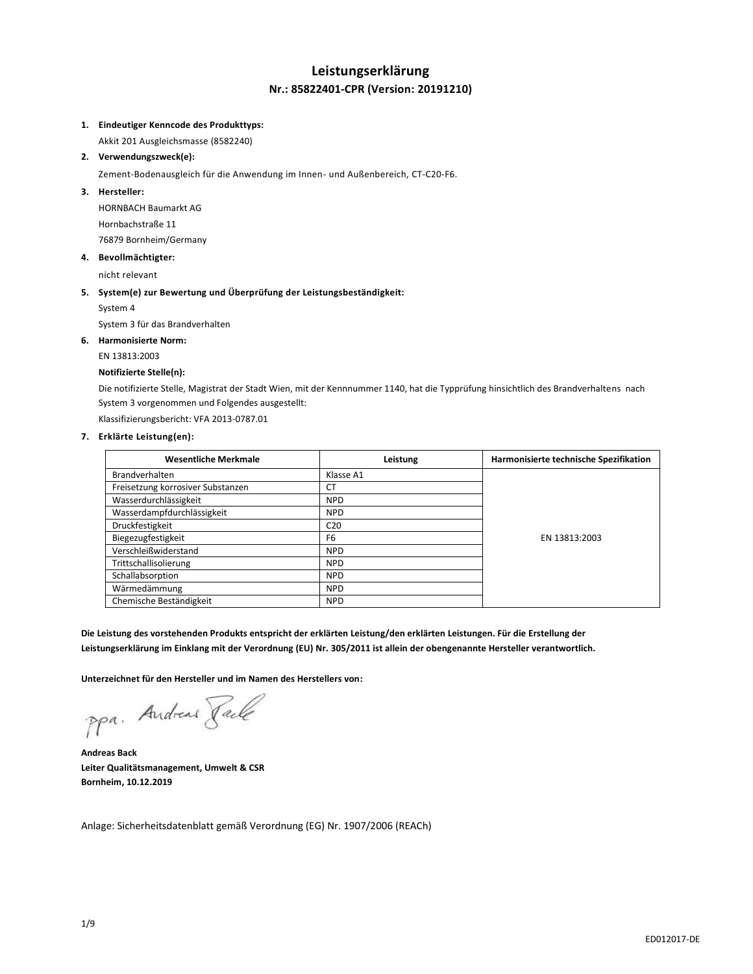## **Leistungserklärung Nr.: 85822401-CPR (Version: 20191210)**

### **1. Eindeutiger Kenncode des Produkttyps:**

Akkit 201 Ausgleichsmasse (8582240)

**2. Verwendungszweck(e):**

Zement-Bodenausgleich für die Anwendung im Innen- und Außenbereich, CT-C20-F6.

#### **3. Hersteller:**

HORNBACH Baumarkt AG Hornbachstraße 11 76879 Bornheim/Germany

**4. Bevollmächtigter:**

nicht relevant

## **5. System(e) zur Bewertung und Überprüfung der Leistungsbeständigkeit:**

System 4

System 3 für das Brandverhalten

#### **6. Harmonisierte Norm:**

EN 13813:2003

#### **Notifizierte Stelle(n):**

Die notifizierte Stelle, Magistrat der Stadt Wien, mit der Kennnummer 1140, hat die Typprüfung hinsichtlich des Brandverhaltens nach System 3 vorgenommen und Folgendes ausgestellt:

Klassifizierungsbericht: VFA 2013-0787.01

#### **7. Erklärte Leistung(en):**

| <b>Wesentliche Merkmale</b>       | Leistung        | Harmonisierte technische Spezifikation |
|-----------------------------------|-----------------|----------------------------------------|
| <b>Brandverhalten</b>             | Klasse A1       |                                        |
| Freisetzung korrosiver Substanzen | <b>CT</b>       |                                        |
| Wasserdurchlässigkeit             | <b>NPD</b>      |                                        |
| Wasserdampfdurchlässigkeit        | <b>NPD</b>      |                                        |
| Druckfestigkeit                   | C <sub>20</sub> |                                        |
| Biegezugfestigkeit                | F <sub>6</sub>  | EN 13813:2003                          |
| Verschleißwiderstand              | <b>NPD</b>      |                                        |
| Trittschallisolierung             | <b>NPD</b>      |                                        |
| Schallabsorption                  | <b>NPD</b>      |                                        |
| Wärmedämmung                      | <b>NPD</b>      |                                        |
| Chemische Beständigkeit           | <b>NPD</b>      |                                        |

**Die Leistung des vorstehenden Produkts entspricht der erklärten Leistung/den erklärten Leistungen. Für die Erstellung der Leistungserklärung im Einklang mit der Verordnung (EU) Nr. 305/2011 ist allein der obengenannte Hersteller verantwortlich.**

**Unterzeichnet für den Hersteller und im Namen des Herstellers von:**

ppa. Andreas Facto

**Andreas Back Leiter Qualitätsmanagement, Umwelt & CSR Bornheim, 10.12.2019**

Anlage: Sicherheitsdatenblatt gemäß Verordnung (EG) Nr. 1907/2006 (REACh)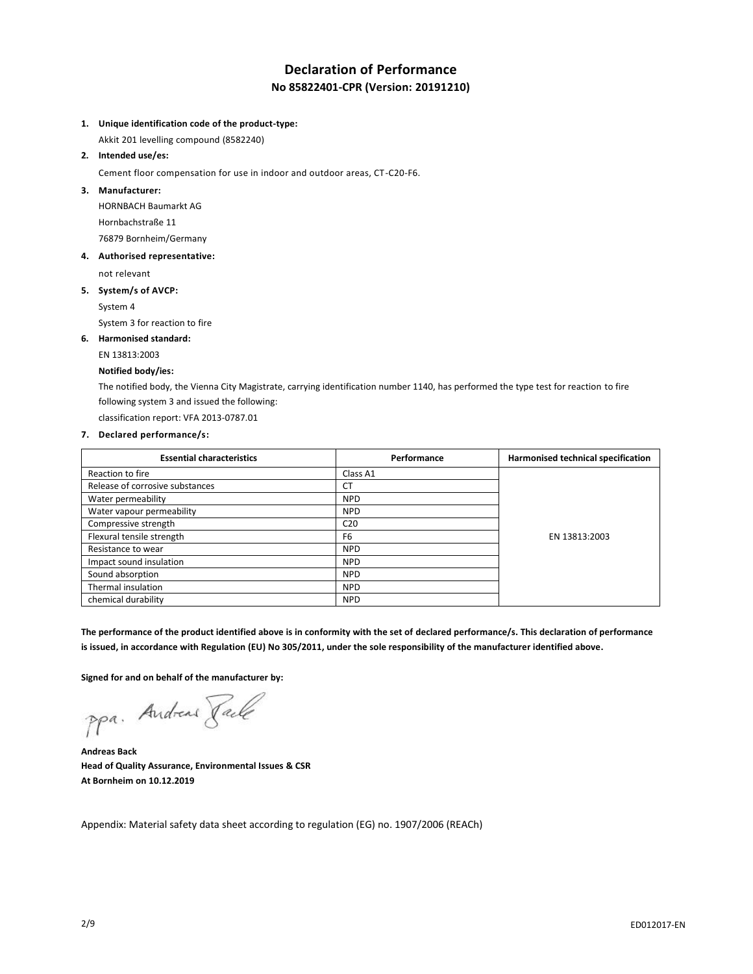# **Declaration of Performance No 85822401-CPR (Version: 20191210)**

### **1. Unique identification code of the product-type:**

Akkit 201 levelling compound (8582240)

**2. Intended use/es:**

Cement floor compensation for use in indoor and outdoor areas, CT-C20-F6.

**3. Manufacturer:**

HORNBACH Baumarkt AG Hornbachstraße 11 76879 Bornheim/Germany

**4. Authorised representative:**

not relevant

**5. System/s of AVCP:**

System 4

System 3 for reaction to fire

### **6. Harmonised standard:**

EN 13813:2003

### **Notified body/ies:**

The notified body, the Vienna City Magistrate, carrying identification number 1140, has performed the type test for reaction to fire following system 3 and issued the following:

classification report: VFA 2013-0787.01

### **7. Declared performance/s:**

| <b>Essential characteristics</b> | Performance     | Harmonised technical specification |
|----------------------------------|-----------------|------------------------------------|
| Reaction to fire                 | Class A1        |                                    |
| Release of corrosive substances  | <b>CT</b>       |                                    |
| Water permeability               | <b>NPD</b>      |                                    |
| Water vapour permeability        | <b>NPD</b>      |                                    |
| Compressive strength             | C <sub>20</sub> | EN 13813:2003                      |
| Flexural tensile strength        | F <sub>6</sub>  |                                    |
| Resistance to wear               | <b>NPD</b>      |                                    |
| Impact sound insulation          | <b>NPD</b>      |                                    |
| Sound absorption                 | <b>NPD</b>      |                                    |
| Thermal insulation               | <b>NPD</b>      |                                    |
| chemical durability              | <b>NPD</b>      |                                    |

**The performance of the product identified above is in conformity with the set of declared performance/s. This declaration of performance is issued, in accordance with Regulation (EU) No 305/2011, under the sole responsibility of the manufacturer identified above.**

**Signed for and on behalf of the manufacturer by:**

ppa. Andreas Taile

**Andreas Back Head of Quality Assurance, Environmental Issues & CSR At Bornheim on 10.12.2019**

Appendix: Material safety data sheet according to regulation (EG) no. 1907/2006 (REACh)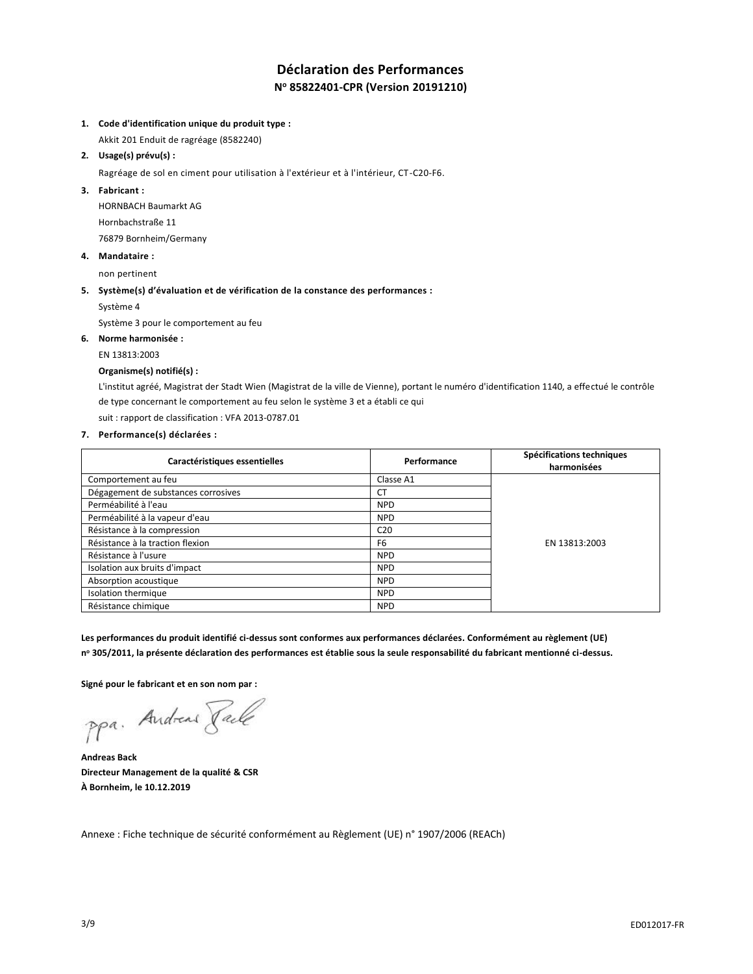# **Déclaration des Performances N <sup>o</sup> 85822401-CPR (Version 20191210)**

### **1. Code d'identification unique du produit type :**

Akkit 201 Enduit de ragréage (8582240)

**2. Usage(s) prévu(s) :**

Ragréage de sol en ciment pour utilisation à l'extérieur et à l'intérieur, CT-C20-F6.

**3. Fabricant :**

HORNBACH Baumarkt AG Hornbachstraße 11 76879 Bornheim/Germany

**4. Mandataire :**

non pertinent

### **5. Système(s) d'évaluation et de vérification de la constance des performances :**

Système 4

Système 3 pour le comportement au feu

## **6. Norme harmonisée :**

EN 13813:2003

## **Organisme(s) notifié(s) :**

L'institut agréé, Magistrat der Stadt Wien (Magistrat de la ville de Vienne), portant le numéro d'identification 1140, a effectué le contrôle de type concernant le comportement au feu selon le système 3 et a établi ce qui

suit : rapport de classification : VFA 2013-0787.01

### **7. Performance(s) déclarées :**

| Caractéristiques essentielles       | Performance     | Spécifications techniques<br>harmonisées |
|-------------------------------------|-----------------|------------------------------------------|
| Comportement au feu                 | Classe A1       |                                          |
| Dégagement de substances corrosives | <b>CT</b>       |                                          |
| Perméabilité à l'eau                | <b>NPD</b>      |                                          |
| Perméabilité à la vapeur d'eau      | <b>NPD</b>      | EN 13813:2003                            |
| Résistance à la compression         | C <sub>20</sub> |                                          |
| Résistance à la traction flexion    | F <sub>6</sub>  |                                          |
| Résistance à l'usure                | <b>NPD</b>      |                                          |
| Isolation aux bruits d'impact       | <b>NPD</b>      |                                          |
| Absorption acoustique               | <b>NPD</b>      |                                          |
| Isolation thermique                 | <b>NPD</b>      |                                          |
| Résistance chimique                 | <b>NPD</b>      |                                          |

**Les performances du produit identifié ci-dessus sont conformes aux performances déclarées. Conformément au règlement (UE) n <sup>o</sup> 305/2011, la présente déclaration des performances est établie sous la seule responsabilité du fabricant mentionné ci-dessus.**

**Signé pour le fabricant et en son nom par :**

ppa. Andreas Pale

**Andreas Back Directeur Management de la qualité & CSR À Bornheim, le 10.12.2019**

Annexe : Fiche technique de sécurité conformément au Règlement (UE) n° 1907/2006 (REACh)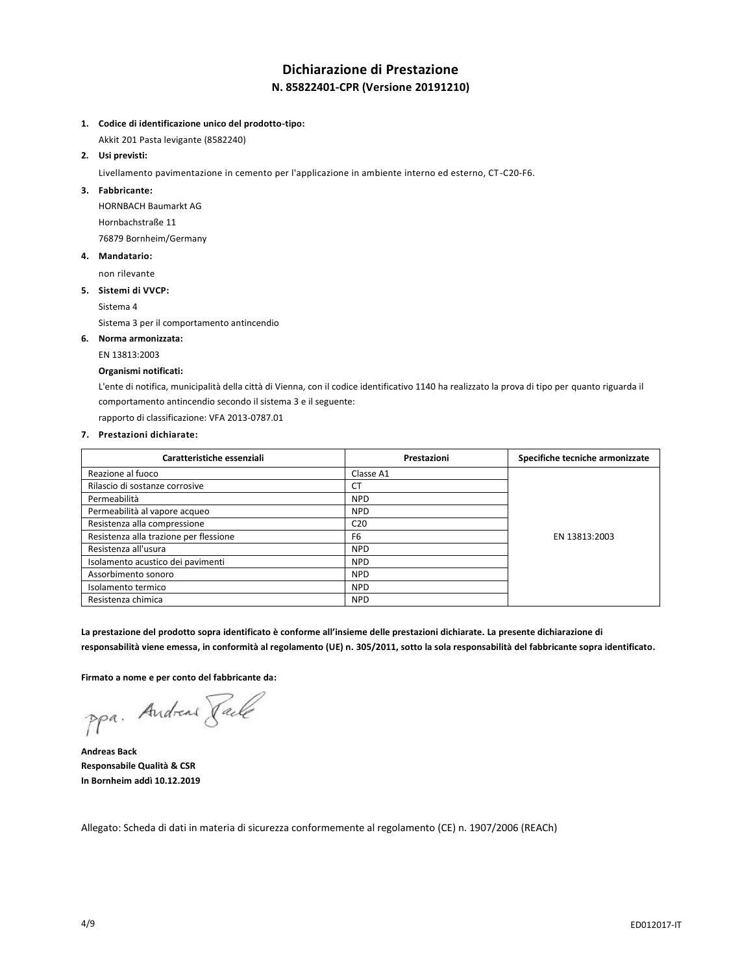## **Dichiarazione di Prestazione N. 85822401-CPR (Versione 20191210)**

- **1. Codice di identificazione unico del prodotto-tipo:**
- Akkit 201 Pasta levigante (8582240)
- **2. Usi previsti:**

Livellamento pavimentazione in cemento per l'applicazione in ambiente interno ed esterno, CT -C20-F6.

**3. Fabbricante:**

HORNBACH Baumarkt AG Hornbachstraße 11 76879 Bornheim/Germany

**4. Mandatario:**

non rilevante

**5. Sistemi di VVCP:**

Sistema 4

Sistema 3 per il comportamento antincendio

### **6. Norma armonizzata:**

EN 13813:2003

### **Organismi notificati:**

L'ente di notifica, municipalità della città di Vienna, con il codice identificativo 1140 ha realizzato la prova di tipo per quanto riguarda il comportamento antincendio secondo il sistema 3 e il seguente:

rapporto di classificazione: VFA 2013-0787.01

## **7. Prestazioni dichiarate:**

| Caratteristiche essenziali             | Prestazioni     | Specifiche tecniche armonizzate |
|----------------------------------------|-----------------|---------------------------------|
| Reazione al fuoco                      | Classe A1       |                                 |
| Rilascio di sostanze corrosive         | СT              |                                 |
| Permeabilità                           | <b>NPD</b>      |                                 |
| Permeabilità al vapore acqueo          | <b>NPD</b>      | EN 13813:2003                   |
| Resistenza alla compressione           | C <sub>20</sub> |                                 |
| Resistenza alla trazione per flessione | F <sub>6</sub>  |                                 |
| Resistenza all'usura                   | <b>NPD</b>      |                                 |
| Isolamento acustico dei pavimenti      | <b>NPD</b>      |                                 |
| Assorbimento sonoro                    | <b>NPD</b>      |                                 |
| Isolamento termico                     | <b>NPD</b>      |                                 |
| Resistenza chimica                     | <b>NPD</b>      |                                 |

**La prestazione del prodotto sopra identificato è conforme all'insieme delle prestazioni dichiarate. La presente dichiarazione di responsabilità viene emessa, in conformità al regolamento (UE) n. 305/2011, sotto la sola responsabilità del fabbricante sopra identificato.**

**Firmato a nome e per conto del fabbricante da:**

ppa. Andreas Face

**Andreas Back Responsabile Qualità & CSR In Bornheim addì 10.12.2019**

Allegato: Scheda di dati in materia di sicurezza conformemente al regolamento (CE) n. 1907/2006 (REACh)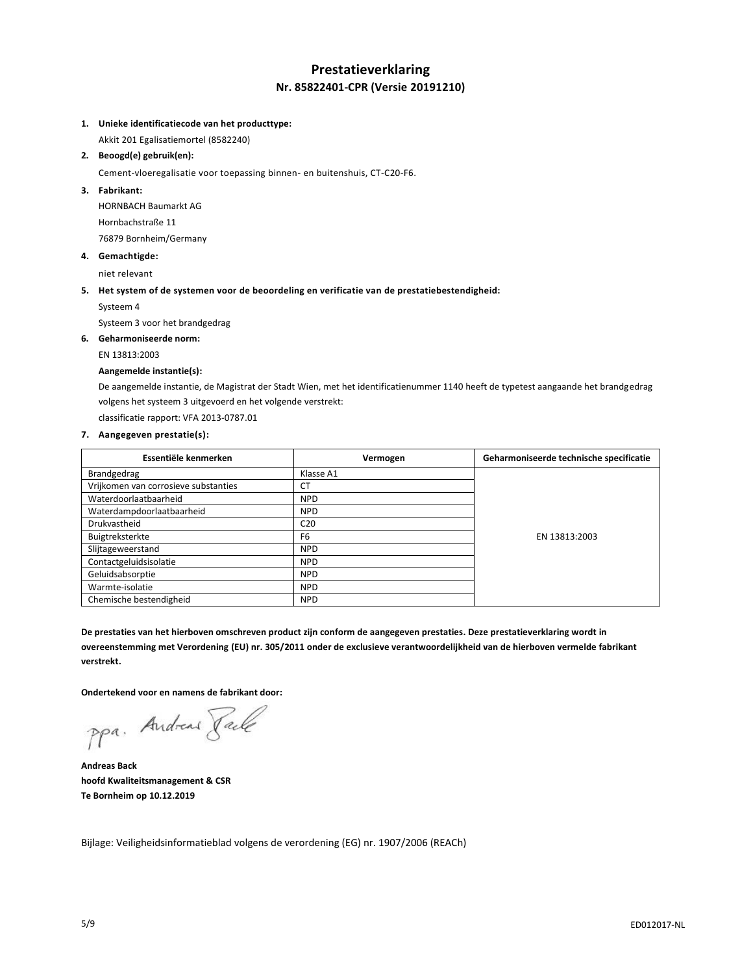## **Prestatieverklaring Nr. 85822401-CPR (Versie 20191210)**

### **1. Unieke identificatiecode van het producttype:**

Akkit 201 Egalisatiemortel (8582240)

### **2. Beoogd(e) gebruik(en):**

Cement-vloeregalisatie voor toepassing binnen- en buitenshuis, CT-C20-F6.

**3. Fabrikant:**

HORNBACH Baumarkt AG Hornbachstraße 11 76879 Bornheim/Germany

**4. Gemachtigde:**

niet relevant

### **5. Het system of de systemen voor de beoordeling en verificatie van de prestatiebestendigheid:**

Systeem 4

Systeem 3 voor het brandgedrag

**6. Geharmoniseerde norm:**

#### EN 13813:2003

## **Aangemelde instantie(s):**

De aangemelde instantie, de Magistrat der Stadt Wien, met het identificatienummer 1140 heeft de typetest aangaande het brandgedrag volgens het systeem 3 uitgevoerd en het volgende verstrekt:

classificatie rapport: VFA 2013-0787.01

### **7. Aangegeven prestatie(s):**

| Essentiële kenmerken                 | Vermogen        | Geharmoniseerde technische specificatie |
|--------------------------------------|-----------------|-----------------------------------------|
| Brandgedrag                          | Klasse A1       |                                         |
| Vrijkomen van corrosieve substanties | <b>CT</b>       |                                         |
| Waterdoorlaatbaarheid                | <b>NPD</b>      |                                         |
| Waterdampdoorlaatbaarheid            | <b>NPD</b>      |                                         |
| Drukvastheid                         | C <sub>20</sub> |                                         |
| Buigtreksterkte                      | F <sub>6</sub>  | EN 13813:2003                           |
| Slijtageweerstand                    | <b>NPD</b>      |                                         |
| Contactgeluidsisolatie               | <b>NPD</b>      |                                         |
| Geluidsabsorptie                     | <b>NPD</b>      |                                         |
| Warmte-isolatie                      | <b>NPD</b>      |                                         |
| Chemische bestendigheid              | <b>NPD</b>      |                                         |

**De prestaties van het hierboven omschreven product zijn conform de aangegeven prestaties. Deze prestatieverklaring wordt in overeenstemming met Verordening (EU) nr. 305/2011 onder de exclusieve verantwoordelijkheid van de hierboven vermelde fabrikant verstrekt.**

**Ondertekend voor en namens de fabrikant door:**

ppa. Andreas Face

**Andreas Back hoofd Kwaliteitsmanagement & CSR Te Bornheim op 10.12.2019**

Bijlage: Veiligheidsinformatieblad volgens de verordening (EG) nr. 1907/2006 (REACh)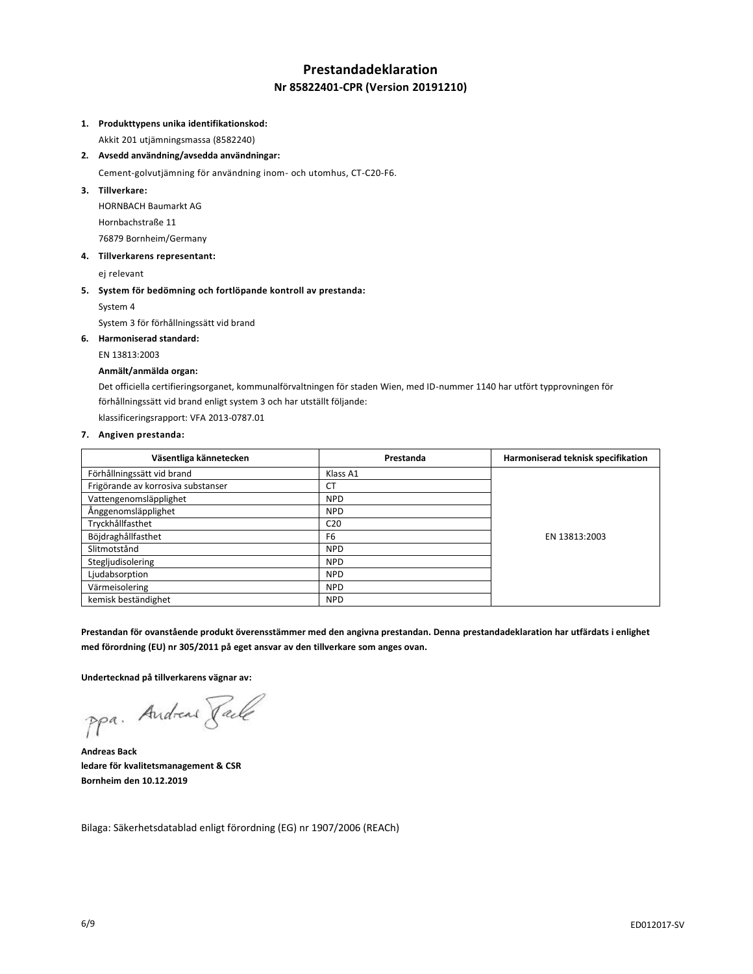# **Prestandadeklaration Nr 85822401-CPR (Version 20191210)**

### **1. Produkttypens unika identifikationskod:**

Akkit 201 utjämningsmassa (8582240)

**2. Avsedd användning/avsedda användningar:**

Cement-golvutjämning för användning inom- och utomhus, CT-C20-F6.

**3. Tillverkare:**

HORNBACH Baumarkt AG Hornbachstraße 11 76879 Bornheim/Germany

**4. Tillverkarens representant:**

ej relevant

**5. System för bedömning och fortlöpande kontroll av prestanda:**

System 4

System 3 för förhållningssätt vid brand

**6. Harmoniserad standard:**

EN 13813:2003

## **Anmält/anmälda organ:**

Det officiella certifieringsorganet, kommunalförvaltningen för staden Wien, med ID-nummer 1140 har utfört typprovningen för förhållningssätt vid brand enligt system 3 och har utställt följande:

klassificeringsrapport: VFA 2013-0787.01

### **7. Angiven prestanda:**

| Väsentliga kännetecken             | Prestanda       | Harmoniserad teknisk specifikation |
|------------------------------------|-----------------|------------------------------------|
| Förhållningssätt vid brand         | Klass A1        |                                    |
| Frigörande av korrosiva substanser | <b>CT</b>       |                                    |
| Vattengenomsläpplighet             | <b>NPD</b>      |                                    |
| Ånggenomsläpplighet                | <b>NPD</b>      |                                    |
| Tryckhållfasthet                   | C <sub>20</sub> |                                    |
| Böjdraghållfasthet                 | F <sub>6</sub>  | EN 13813:2003                      |
| Slitmotstånd                       | <b>NPD</b>      |                                    |
| Stegljudisolering                  | <b>NPD</b>      |                                    |
| Ljudabsorption                     | <b>NPD</b>      |                                    |
| Värmeisolering                     | <b>NPD</b>      |                                    |
| kemisk beständighet                | <b>NPD</b>      |                                    |

**Prestandan för ovanstående produkt överensstämmer med den angivna prestandan. Denna prestandadeklaration har utfärdats i enlighet med förordning (EU) nr 305/2011 på eget ansvar av den tillverkare som anges ovan.**

**Undertecknad på tillverkarens vägnar av:**

ppa. Andreas Pale

**Andreas Back ledare för kvalitetsmanagement & CSR Bornheim den 10.12.2019**

Bilaga: Säkerhetsdatablad enligt förordning (EG) nr 1907/2006 (REACh)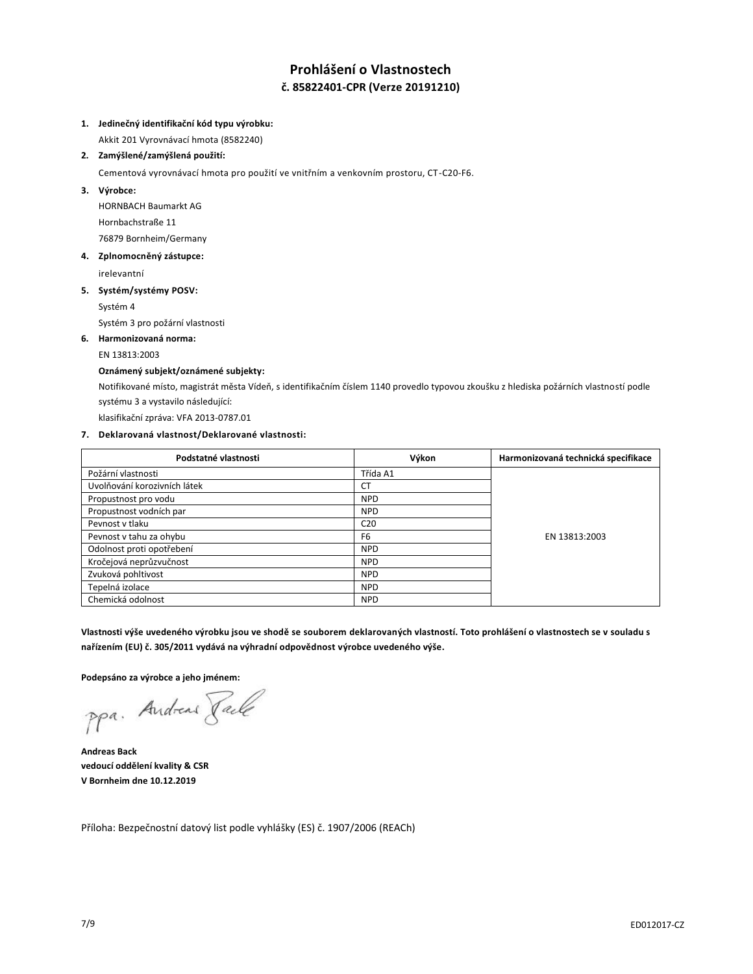# **Prohlášení o Vlastnostech č. 85822401-CPR (Verze 20191210)**

## **1. Jedinečný identifikační kód typu výrobku:**

Akkit 201 Vyrovnávací hmota (8582240)

### **2. Zamýšlené/zamýšlená použití:**

Cementová vyrovnávací hmota pro použití ve vnitřním a venkovním prostoru, CT-C20-F6.

**3. Výrobce:**

HORNBACH Baumarkt AG Hornbachstraße 11 76879 Bornheim/Germany

**4. Zplnomocněný zástupce:**

irelevantní

## **5. Systém/systémy POSV:**

Systém 4

Systém 3 pro požární vlastnosti

## **6. Harmonizovaná norma:**

### EN 13813:2003

## **Oznámený subjekt/oznámené subjekty:**

Notifikované místo, magistrát města Vídeň, s identifikačním číslem 1140 provedlo typovou zkoušku z hlediska požárních vlastností podle systému 3 a vystavilo následující:

klasifikační zpráva: VFA 2013-0787.01

### **7. Deklarovaná vlastnost/Deklarované vlastnosti:**

| Podstatné vlastnosti         | Výkon           | Harmonizovaná technická specifikace |
|------------------------------|-----------------|-------------------------------------|
| Požární vlastnosti           | Třída A1        |                                     |
| Uvolňování korozivních látek | СT              |                                     |
| Propustnost pro vodu         | <b>NPD</b>      |                                     |
| Propustnost vodních par      | <b>NPD</b>      | EN 13813:2003                       |
| Pevnost v tlaku              | C <sub>20</sub> |                                     |
| Pevnost v tahu za ohybu      | F <sub>6</sub>  |                                     |
| Odolnost proti opotřebení    | <b>NPD</b>      |                                     |
| Kročejová neprůzvučnost      | <b>NPD</b>      |                                     |
| Zvuková pohltivost           | <b>NPD</b>      |                                     |
| Tepelná izolace              | <b>NPD</b>      |                                     |
| Chemická odolnost            | <b>NPD</b>      |                                     |

**Vlastnosti výše uvedeného výrobku jsou ve shodě se souborem deklarovaných vlastností. Toto prohlášení o vlastnostech se v souladu s nařízením (EU) č. 305/2011 vydává na výhradní odpovědnost výrobce uvedeného výše.**

**Podepsáno za výrobce a jeho jménem:**

ppa. Andreas Pack

**Andreas Back vedoucí oddělení kvality & CSR V Bornheim dne 10.12.2019**

Příloha: Bezpečnostní datový list podle vyhlášky (ES) č. 1907/2006 (REACh)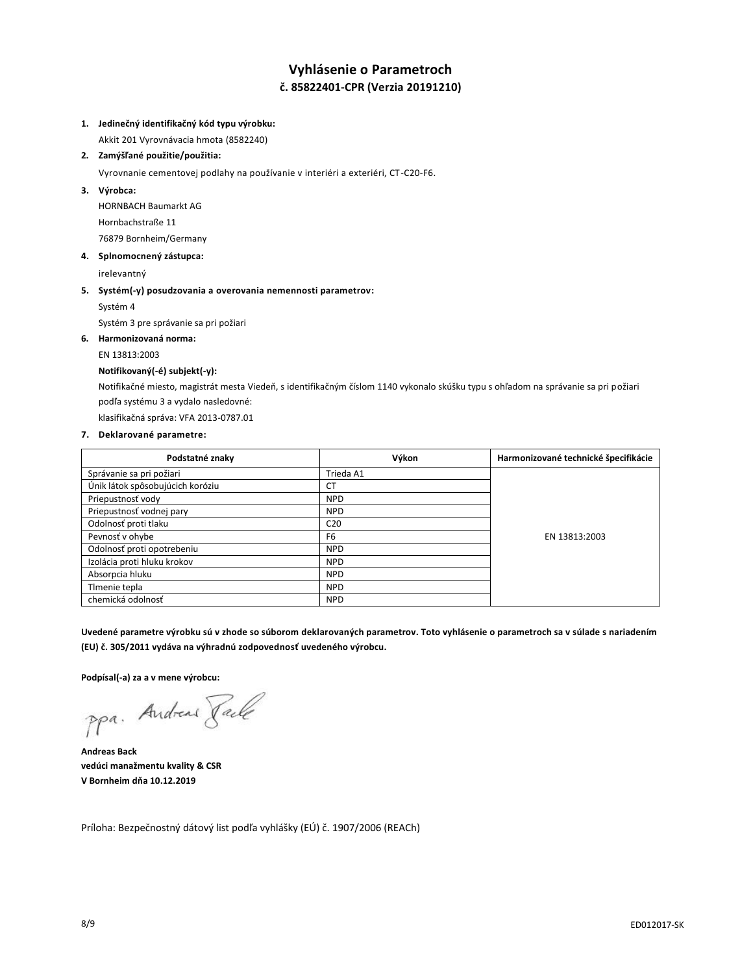# **Vyhlásenie o Parametroch č. 85822401-CPR (Verzia 20191210)**

### **1. Jedinečný identifikačný kód typu výrobku:**

Akkit 201 Vyrovnávacia hmota (8582240)

## **2. Zamýšľané použitie/použitia:**

Vyrovnanie cementovej podlahy na používanie v interiéri a exteriéri, CT-C20-F6.

**3. Výrobca:**

HORNBACH Baumarkt AG Hornbachstraße 11 76879 Bornheim/Germany

**4. Splnomocnený zástupca:**

irelevantný

## **5. Systém(-y) posudzovania a overovania nemennosti parametrov:**

Systém 4

Systém 3 pre správanie sa pri požiari

## **6. Harmonizovaná norma:**

EN 13813:2003

## **Notifikovaný(-é) subjekt(-y):**

Notifikačné miesto, magistrát mesta Viedeň, s identifikačným číslom 1140 vykonalo skúšku typu s ohľadom na správanie sa pri požiari podľa systému 3 a vydalo nasledovné:

klasifikačná správa: VFA 2013-0787.01

### **7. Deklarované parametre:**

| Podstatné znaky                  | Výkon           | Harmonizované technické špecifikácie |
|----------------------------------|-----------------|--------------------------------------|
| Správanie sa pri požiari         | Trieda A1       |                                      |
| Únik látok spôsobujúcich koróziu | СT              |                                      |
| Priepustnosť vody                | <b>NPD</b>      |                                      |
| Priepustnosť vodnej pary         | <b>NPD</b>      |                                      |
| Odolnosť proti tlaku             | C <sub>20</sub> |                                      |
| Pevnosť v ohybe                  | F <sub>6</sub>  | EN 13813:2003                        |
| Odolnosť proti opotrebeniu       | <b>NPD</b>      |                                      |
| Izolácia proti hluku krokov      | <b>NPD</b>      |                                      |
| Absorpcia hluku                  | <b>NPD</b>      |                                      |
| Timenie tepla                    | <b>NPD</b>      |                                      |
| chemická odolnosť                | <b>NPD</b>      |                                      |

**Uvedené parametre výrobku sú v zhode so súborom deklarovaných parametrov. Toto vyhlásenie o parametroch sa v súlade s nariadením (EU) č. 305/2011 vydáva na výhradnú zodpovednosť uvedeného výrobcu.**

**Podpísal(-a) za a v mene výrobcu:**

ppa. Andreas Taile

**Andreas Back vedúci manažmentu kvality & CSR V Bornheim dňa 10.12.2019**

Príloha: Bezpečnostný dátový list podľa vyhlášky (EÚ) č. 1907/2006 (REACh)